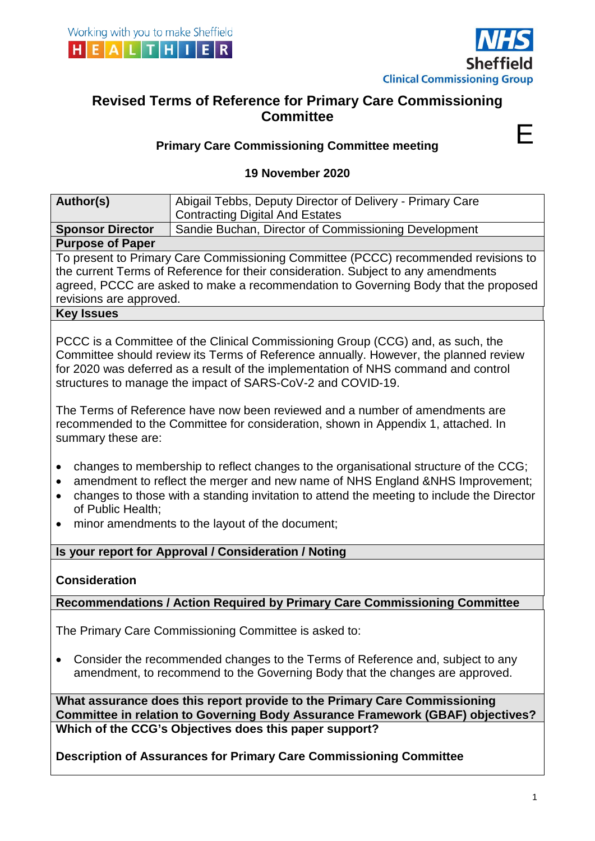



E

# **Revised Terms of Reference for Primary Care Commissioning Committee**

# **Primary Care Commissioning Committee meeting**

## **19 November 2020**

| Author(s)                                                                                                                                                                                                                                                                                 | Abigail Tebbs, Deputy Director of Delivery - Primary Care<br><b>Contracting Digital And Estates</b>                                                                                                                                                                                                                                                                                                                                                                                                                                                                                                                                                                                                                                                                                                                        |  |  |  |
|-------------------------------------------------------------------------------------------------------------------------------------------------------------------------------------------------------------------------------------------------------------------------------------------|----------------------------------------------------------------------------------------------------------------------------------------------------------------------------------------------------------------------------------------------------------------------------------------------------------------------------------------------------------------------------------------------------------------------------------------------------------------------------------------------------------------------------------------------------------------------------------------------------------------------------------------------------------------------------------------------------------------------------------------------------------------------------------------------------------------------------|--|--|--|
| <b>Sponsor Director</b>                                                                                                                                                                                                                                                                   | Sandie Buchan, Director of Commissioning Development                                                                                                                                                                                                                                                                                                                                                                                                                                                                                                                                                                                                                                                                                                                                                                       |  |  |  |
| <b>Purpose of Paper</b>                                                                                                                                                                                                                                                                   |                                                                                                                                                                                                                                                                                                                                                                                                                                                                                                                                                                                                                                                                                                                                                                                                                            |  |  |  |
| To present to Primary Care Commissioning Committee (PCCC) recommended revisions to<br>the current Terms of Reference for their consideration. Subject to any amendments<br>agreed, PCCC are asked to make a recommendation to Governing Body that the proposed<br>revisions are approved. |                                                                                                                                                                                                                                                                                                                                                                                                                                                                                                                                                                                                                                                                                                                                                                                                                            |  |  |  |
| <b>Key Issues</b>                                                                                                                                                                                                                                                                         |                                                                                                                                                                                                                                                                                                                                                                                                                                                                                                                                                                                                                                                                                                                                                                                                                            |  |  |  |
| summary these are:<br>$\bullet$<br>of Public Health;                                                                                                                                                                                                                                      | PCCC is a Committee of the Clinical Commissioning Group (CCG) and, as such, the<br>Committee should review its Terms of Reference annually. However, the planned review<br>for 2020 was deferred as a result of the implementation of NHS command and control<br>structures to manage the impact of SARS-CoV-2 and COVID-19.<br>The Terms of Reference have now been reviewed and a number of amendments are<br>recommended to the Committee for consideration, shown in Appendix 1, attached. In<br>changes to membership to reflect changes to the organisational structure of the CCG;<br>amendment to reflect the merger and new name of NHS England &NHS Improvement;<br>changes to those with a standing invitation to attend the meeting to include the Director<br>minor amendments to the layout of the document; |  |  |  |
|                                                                                                                                                                                                                                                                                           | Is your report for Approval / Consideration / Noting                                                                                                                                                                                                                                                                                                                                                                                                                                                                                                                                                                                                                                                                                                                                                                       |  |  |  |
| <b>Consideration</b>                                                                                                                                                                                                                                                                      |                                                                                                                                                                                                                                                                                                                                                                                                                                                                                                                                                                                                                                                                                                                                                                                                                            |  |  |  |
|                                                                                                                                                                                                                                                                                           | Recommendations / Action Required by Primary Care Commissioning Committee                                                                                                                                                                                                                                                                                                                                                                                                                                                                                                                                                                                                                                                                                                                                                  |  |  |  |
|                                                                                                                                                                                                                                                                                           | The Primary Care Commissioning Committee is asked to:<br>Consider the recommended changes to the Terms of Reference and, subject to any                                                                                                                                                                                                                                                                                                                                                                                                                                                                                                                                                                                                                                                                                    |  |  |  |
| amendment, to recommend to the Governing Body that the changes are approved.                                                                                                                                                                                                              |                                                                                                                                                                                                                                                                                                                                                                                                                                                                                                                                                                                                                                                                                                                                                                                                                            |  |  |  |
| What assurance does this report provide to the Primary Care Commissioning<br>Committee in relation to Governing Body Assurance Framework (GBAF) objectives?                                                                                                                               |                                                                                                                                                                                                                                                                                                                                                                                                                                                                                                                                                                                                                                                                                                                                                                                                                            |  |  |  |
|                                                                                                                                                                                                                                                                                           | Which of the CCG's Objectives does this paper support?                                                                                                                                                                                                                                                                                                                                                                                                                                                                                                                                                                                                                                                                                                                                                                     |  |  |  |
| <b>Description of Assurances for Primary Care Commissioning Committee</b>                                                                                                                                                                                                                 |                                                                                                                                                                                                                                                                                                                                                                                                                                                                                                                                                                                                                                                                                                                                                                                                                            |  |  |  |
|                                                                                                                                                                                                                                                                                           |                                                                                                                                                                                                                                                                                                                                                                                                                                                                                                                                                                                                                                                                                                                                                                                                                            |  |  |  |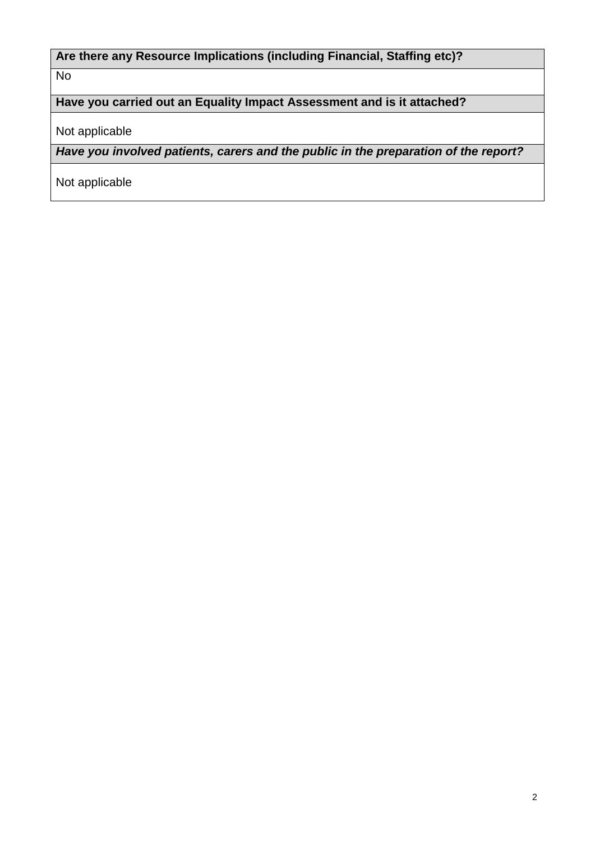# **Are there any Resource Implications (including Financial, Staffing etc)?**

No

# **Have you carried out an Equality Impact Assessment and is it attached?**

Not applicable

*Have you involved patients, carers and the public in the preparation of the report?* 

Not applicable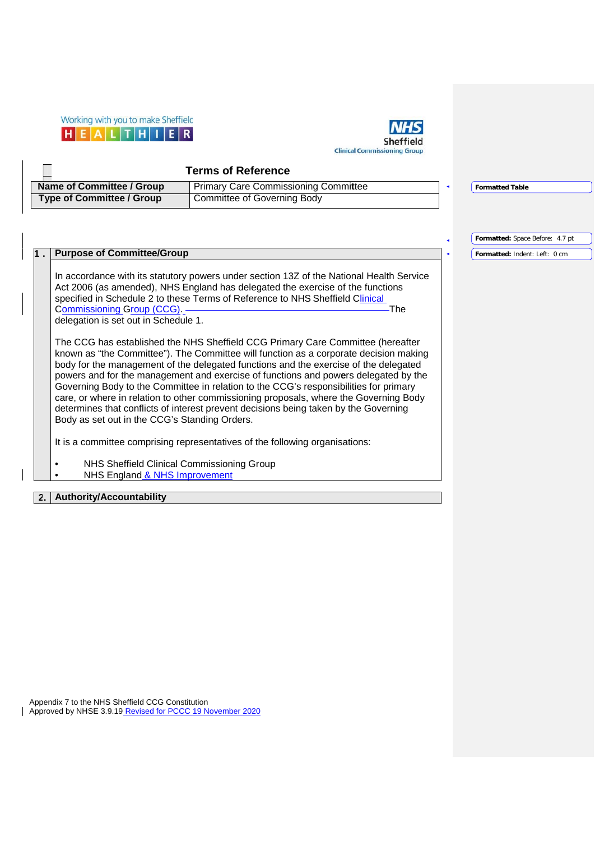



**Formatted:** Space Before: 4.7 pt **Formatted:** Indent: Left: 0 cm

#### **Terms of Reference Name of Committee / Group** Primary Care Commissioning Committee **Type of Committee / Group Committee of Governing Body Formatted Table**

#### **1 . Purpose of Committee/Group**

In accordance with its statutory powers under section 13Z of the National Health Service Act 2006 (as amended), NHS England has delegated the exercise of the functions specified in Schedule 2 to these Terms of Reference to NHS Sheffield Clinical Commissioning Group (CCG). The Commissioning Croup (CCG). delegation is set out in Schedule 1.

The CCG has established the NHS Sheffield CCG Primary Care Committee (hereafter known as "the Committee"). The Committee will function as a corporate decision making body for the management of the delegated functions and the exercise of the delegated powers and for the management and exercise of functions and pow**e**rs delegated by the Governing Body to the Committee in relation to the CCG's responsibilities for primary care, or where in relation to other commissioning proposals, where the Governing Body determines that conflicts of interest prevent decisions being taken by the Governing Body as set out in the CCG's Standing Orders.

It is a committee comprising representatives of the following organisations:

• NHS Sheffield Clinical Commissioning Group NHS England & NHS Improvement

### **2. Authority/Accountability**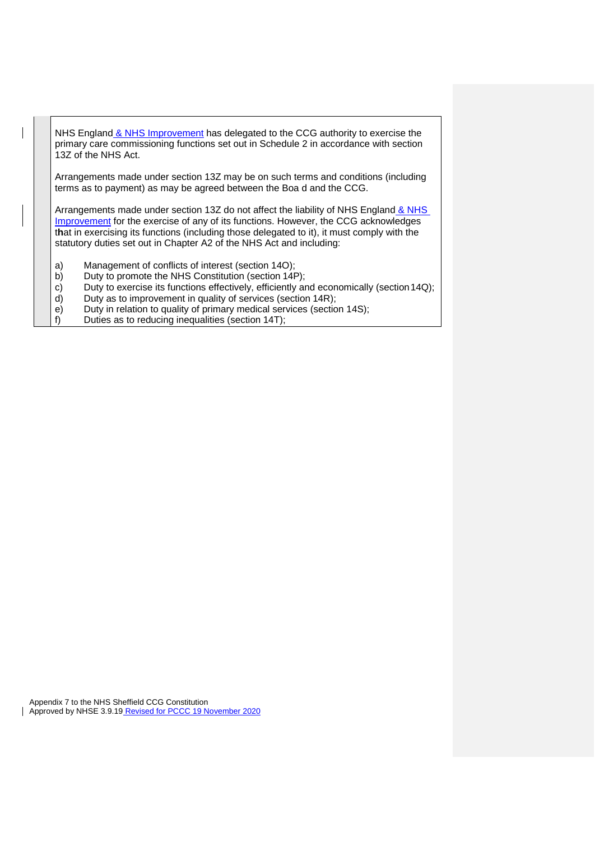NHS England & NHS Improvement has delegated to the CCG authority to exercise the primary care commissioning functions set out in Schedule 2 in accordance with section 13Z of the NHS Act.

Arrangements made under section 13Z may be on such terms and conditions (including terms as to payment) as may be agreed between the Boa d and the CCG.

Arrangements made under section 13Z do not affect the liability of NHS England & NHS Improvement for the exercise of any of its functions. However, the CCG acknowledges t**h**at in exercising its functions (including those delegated to it), it must comply with the statutory duties set out in Chapter A2 of the NHS Act and including:

- a) Management of conflicts of interest (section 14O);
- b) Duty to promote the NHS Constitution (section 14P);
- c) Duty to exercise its functions effectively, efficiently and economically (section 14Q);<br>d) Duty as to improvement in quality of services (section 14R);
- d) Duty as to improvement in quality of services (section 14R);<br>e) Duty in relation to quality of primary medical services (section
- e) Duty in relation to quality of primary medical services (section 14S);<br>f) Duties as to reducing inequalities (section 14T);
- Duties as to reducing inequalities (section 14T);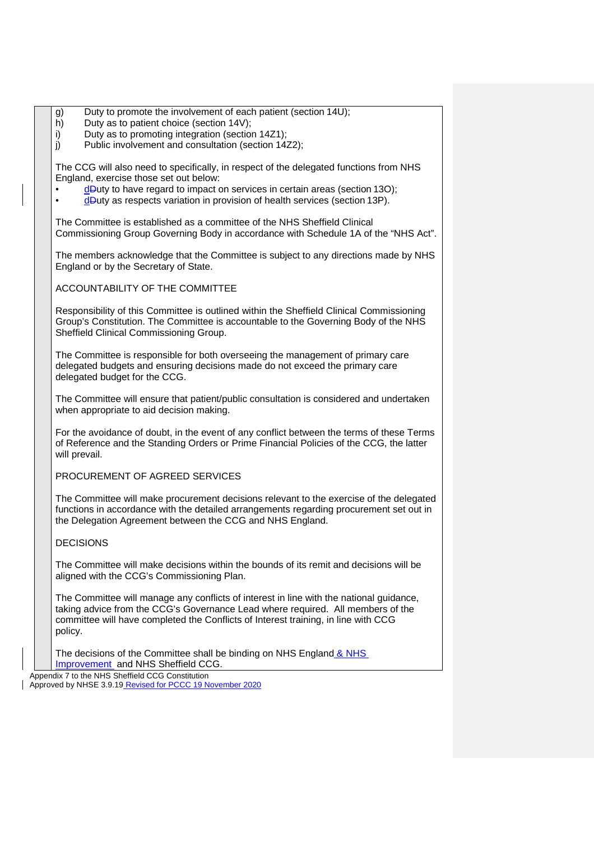| g) | Duty to promote the involvement of each patient (section 14U); |
|----|----------------------------------------------------------------|
|----|----------------------------------------------------------------|

- h) Duty as to patient choice (section 14V);
- i) Duty as to promoting integration (section 14Z1);
- j) Public involvement and consultation (section 14Z2);

The CCG will also need to specifically, in respect of the delegated functions from NHS England, exercise those set out below:

- $d$  Duty to have regard to impact on services in certain areas (section 130);
- d<sup>D</sup>uty as respects variation in provision of health services (section 13P).

The Committee is established as a committee of the NHS Sheffield Clinical Commissioning Group Governing Body in accordance with Schedule 1A of the "NHS Act".

The members acknowledge that the Committee is subject to any directions made by NHS England or by the Secretary of State.

ACCOUNTABILITY OF THE COMMITTEE

Responsibility of this Committee is outlined within the Sheffield Clinical Commissioning Group's Constitution. The Committee is accountable to the Governing Body of the NHS Sheffield Clinical Commissioning Group.

The Committee is responsible for both overseeing the management of primary care delegated budgets and ensuring decisions made do not exceed the primary care delegated budget for the CCG.

The Committee will ensure that patient/public consultation is considered and undertaken when appropriate to aid decision making.

For the avoidance of doubt, in the event of any conflict between the terms of these Terms of Reference and the Standing Orders or Prime Financial Policies of the CCG, the latter will prevail.

PROCUREMENT OF AGREED SERVICES

The Committee will make procurement decisions relevant to the exercise of the delegated functions in accordance with the detailed arrangements regarding procurement set out in the Delegation Agreement between the CCG and NHS England.

## DECISIONS

The Committee will make decisions within the bounds of its remit and decisions will be aligned with the CCG's Commissioning Plan.

The Committee will manage any conflicts of interest in line with the national guidance, taking advice from the CCG's Governance Lead where required. All members of the committee will have completed the Conflicts of Interest training, in line with CCG policy.

The decisions of the Committee shall be binding on NHS England & NHS Improvement and NHS Sheffield CCG.

Appendix 7 to the NHS Sheffield CCG Constitution

Approved by NHSE 3.9.19 Revised for PCCC 19 November 2020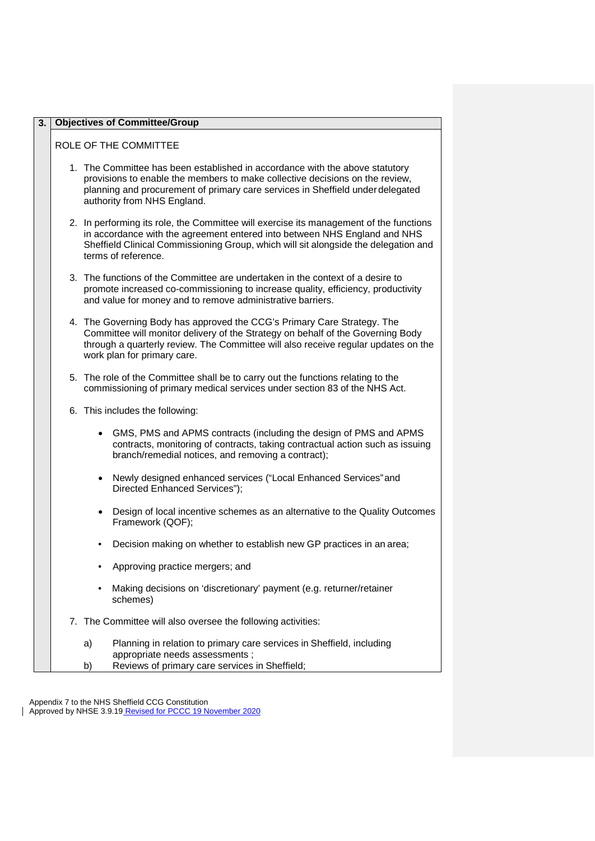| $\overline{3}$ . | <b>Objectives of Committee/Group</b>                                                                                                                                                                                                                                              |  |  |
|------------------|-----------------------------------------------------------------------------------------------------------------------------------------------------------------------------------------------------------------------------------------------------------------------------------|--|--|
|                  | ROLE OF THE COMMITTEE                                                                                                                                                                                                                                                             |  |  |
|                  | 1. The Committee has been established in accordance with the above statutory<br>provisions to enable the members to make collective decisions on the review,<br>planning and procurement of primary care services in Sheffield under delegated<br>authority from NHS England.     |  |  |
|                  | 2. In performing its role, the Committee will exercise its management of the functions<br>in accordance with the agreement entered into between NHS England and NHS<br>Sheffield Clinical Commissioning Group, which will sit alongside the delegation and<br>terms of reference. |  |  |
|                  | 3. The functions of the Committee are undertaken in the context of a desire to<br>promote increased co-commissioning to increase quality, efficiency, productivity<br>and value for money and to remove administrative barriers.                                                  |  |  |
|                  | 4. The Governing Body has approved the CCG's Primary Care Strategy. The<br>Committee will monitor delivery of the Strategy on behalf of the Governing Body<br>through a quarterly review. The Committee will also receive regular updates on the<br>work plan for primary care.   |  |  |
|                  | 5. The role of the Committee shall be to carry out the functions relating to the<br>commissioning of primary medical services under section 83 of the NHS Act.                                                                                                                    |  |  |
|                  | 6. This includes the following:                                                                                                                                                                                                                                                   |  |  |
|                  | • GMS, PMS and APMS contracts (including the design of PMS and APMS<br>contracts, monitoring of contracts, taking contractual action such as issuing<br>branch/remedial notices, and removing a contract);                                                                        |  |  |
|                  | Newly designed enhanced services ("Local Enhanced Services" and<br>$\bullet$<br>Directed Enhanced Services");                                                                                                                                                                     |  |  |
|                  | Design of local incentive schemes as an alternative to the Quality Outcomes<br>Framework (QOF);                                                                                                                                                                                   |  |  |
|                  | Decision making on whether to establish new GP practices in an area;                                                                                                                                                                                                              |  |  |
|                  | Approving practice mergers; and                                                                                                                                                                                                                                                   |  |  |
|                  | Making decisions on 'discretionary' payment (e.g. returner/retainer<br>schemes)                                                                                                                                                                                                   |  |  |
|                  | 7. The Committee will also oversee the following activities:                                                                                                                                                                                                                      |  |  |
|                  | Planning in relation to primary care services in Sheffield, including<br>a)<br>appropriate needs assessments;                                                                                                                                                                     |  |  |
|                  | Reviews of primary care services in Sheffield;<br>b)                                                                                                                                                                                                                              |  |  |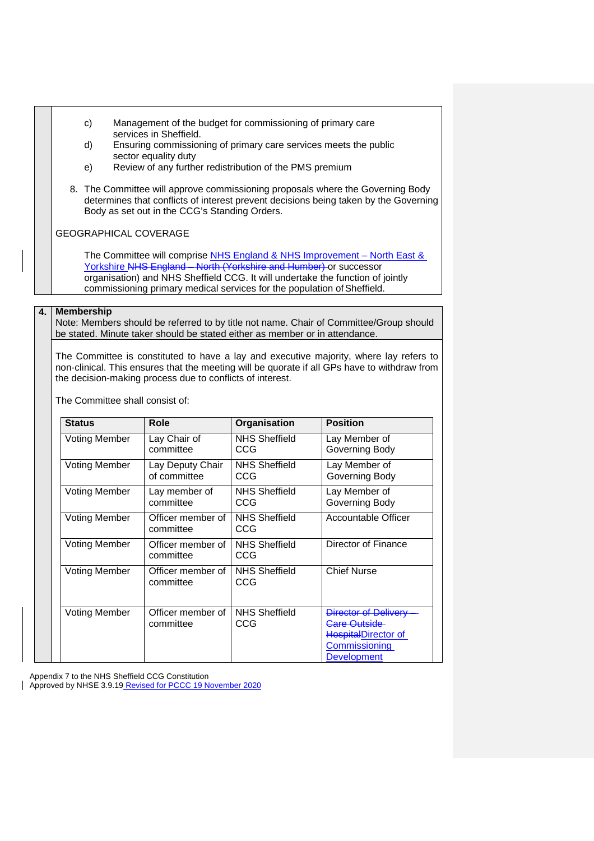- c) Management of the budget for commissioning of primary care services in Sheffield.
- d) Ensuring commissioning of primary care services meets the public sector equality duty
- e) Review of any further redistribution of the PMS premium
- 8. The Committee will approve commissioning proposals where the Governing Body determines that conflicts of interest prevent decisions being taken by the Governing Body as set out in the CCG's Standing Orders.

GEOGRAPHICAL COVERAGE

The Committee will comprise NHS England & NHS Improvement - North East & Yorkshire NHS England – North (Yorkshire and Humber) or successor organisation) and NHS Sheffield CCG. It will undertake the function of jointly commissioning primary medical services for the population of Sheffield.

#### **4. Membership**

Note: Members should be referred to by title not name. Chair of Committee/Group should be stated. Minute taker should be stated either as member or in attendance.

The Committee is constituted to have a lay and executive majority, where lay refers to non-clinical. This ensures that the meeting will be quorate if all GPs have to withdraw from the decision-making process due to conflicts of interest.

The Committee shall consist of:

| <b>Status</b>        | Role                             | Organisation                | <b>Position</b>                                                                                                  |
|----------------------|----------------------------------|-----------------------------|------------------------------------------------------------------------------------------------------------------|
| <b>Voting Member</b> | Lay Chair of<br>committee        | <b>NHS Sheffield</b><br>CCG | Lay Member of<br>Governing Body                                                                                  |
| <b>Voting Member</b> | Lay Deputy Chair<br>of committee | <b>NHS Sheffield</b><br>CCG | Lay Member of<br>Governing Body                                                                                  |
| <b>Voting Member</b> | Lay member of<br>committee       | NHS Sheffield<br>CCG        | Lay Member of<br>Governing Body                                                                                  |
| <b>Voting Member</b> | Officer member of<br>committee   | <b>NHS Sheffield</b><br>CCG | Accountable Officer                                                                                              |
| <b>Voting Member</b> | Officer member of<br>committee   | <b>NHS Sheffield</b><br>CCG | Director of Finance                                                                                              |
| <b>Voting Member</b> | Officer member of<br>committee   | <b>NHS Sheffield</b><br>CCG | <b>Chief Nurse</b>                                                                                               |
| <b>Voting Member</b> | Officer member of<br>committee   | <b>NHS Sheffield</b><br>CCG | Director of Delivery<br><b>Care Outside</b><br><b>HospitalDirector of</b><br>Commissioning<br><b>Development</b> |

Appendix 7 to the NHS Sheffield CCG Constitution

Approved by NHSE 3.9.19 Revised for PCCC 19 November 2020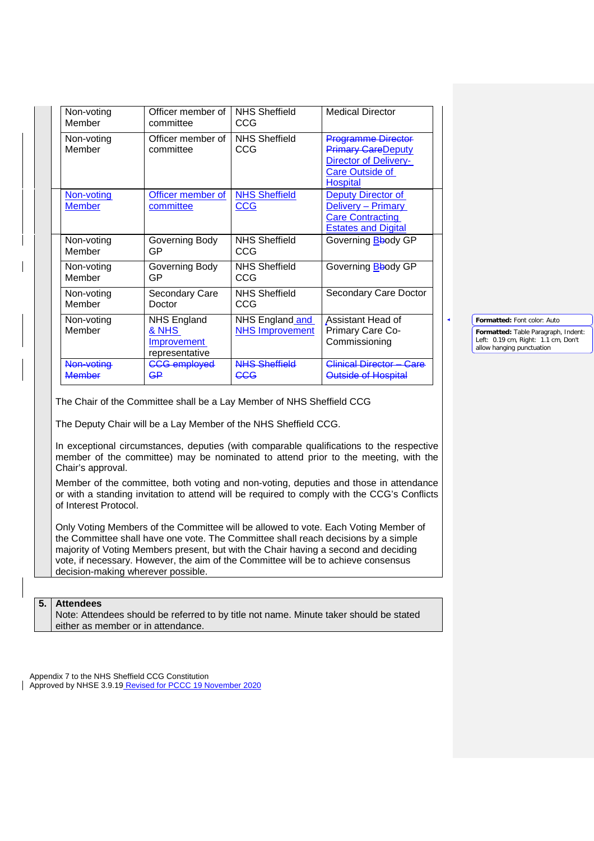|                                                                                                                                                                                                               | Non-voting                                             | Officer member of                                                                                                                        | <b>NHS Sheffield</b>                      | <b>Medical Director</b>                                                                                                                                                                                                                                          |                                                                                                                                        |
|---------------------------------------------------------------------------------------------------------------------------------------------------------------------------------------------------------------|--------------------------------------------------------|------------------------------------------------------------------------------------------------------------------------------------------|-------------------------------------------|------------------------------------------------------------------------------------------------------------------------------------------------------------------------------------------------------------------------------------------------------------------|----------------------------------------------------------------------------------------------------------------------------------------|
|                                                                                                                                                                                                               | Member                                                 | committee                                                                                                                                | CCG                                       |                                                                                                                                                                                                                                                                  |                                                                                                                                        |
|                                                                                                                                                                                                               | Non-voting<br>Member                                   | Officer member of<br>committee                                                                                                           | <b>NHS Sheffield</b><br>CCG               | <b>Programme Director</b><br><b>Primary CareDeputy</b><br>Director of Delivery-<br><b>Care Outside of</b><br>Hospital                                                                                                                                            |                                                                                                                                        |
|                                                                                                                                                                                                               | Non-voting<br><b>Member</b>                            | Officer member of<br>committee                                                                                                           | <b>NHS Sheffield</b><br>CCG               | Deputy Director of<br>Delivery - Primary<br><b>Care Contracting</b><br><b>Estates and Digital</b>                                                                                                                                                                |                                                                                                                                        |
|                                                                                                                                                                                                               | Non-voting<br>Member                                   | Governing Body<br>GP                                                                                                                     | <b>NHS Sheffield</b><br><b>CCG</b>        | Governing Bbody GP                                                                                                                                                                                                                                               |                                                                                                                                        |
|                                                                                                                                                                                                               | Non-voting<br>Member                                   | Governing Body<br><b>GP</b>                                                                                                              | <b>NHS Sheffield</b><br>CCG               | Governing Bbody GP                                                                                                                                                                                                                                               |                                                                                                                                        |
|                                                                                                                                                                                                               | Non-voting<br>Member                                   | Secondary Care<br>Doctor                                                                                                                 | <b>NHS Sheffield</b><br>CCG               | Secondary Care Doctor                                                                                                                                                                                                                                            |                                                                                                                                        |
|                                                                                                                                                                                                               | Non-voting<br>Member                                   | <b>NHS England</b><br>& NHS<br>Improvement<br>representative                                                                             | NHS England and<br><b>NHS Improvement</b> | Assistant Head of<br>Primary Care Co-<br>Commissioning                                                                                                                                                                                                           | Formatted: Font color: Auto<br>Formatted: Table Paragraph, Indent:<br>Left: 0.19 cm, Right: 1.1 cm, Don't<br>allow hanging punctuation |
|                                                                                                                                                                                                               | Non-voting<br><b>Member</b>                            | <b>CCG</b> employed<br>G₽                                                                                                                | <b>NHS Sheffield</b><br><b>CCG</b>        | Clinical Director - Care<br>Outside of Hospital                                                                                                                                                                                                                  |                                                                                                                                        |
|                                                                                                                                                                                                               | Chair's approval.                                      | The Chair of the Committee shall be a Lay Member of NHS Sheffield CCG<br>The Deputy Chair will be a Lay Member of the NHS Sheffield CCG. |                                           | In exceptional circumstances, deputies (with comparable qualifications to the respective<br>member of the committee) may be nominated to attend prior to the meeting, with the                                                                                   |                                                                                                                                        |
| Member of the committee, both voting and non-voting, deputies and those in attendance<br>or with a standing invitation to attend will be required to comply with the CCG's Conflicts<br>of Interest Protocol. |                                                        |                                                                                                                                          |                                           |                                                                                                                                                                                                                                                                  |                                                                                                                                        |
|                                                                                                                                                                                                               | decision-making wherever possible.                     | vote, if necessary. However, the aim of the Committee will be to achieve consensus                                                       |                                           | Only Voting Members of the Committee will be allowed to vote. Each Voting Member of<br>the Committee shall have one vote. The Committee shall reach decisions by a simple<br>majority of Voting Members present, but with the Chair having a second and deciding |                                                                                                                                        |
|                                                                                                                                                                                                               |                                                        |                                                                                                                                          |                                           |                                                                                                                                                                                                                                                                  |                                                                                                                                        |
| 5.                                                                                                                                                                                                            | <b>Attendees</b><br>either as member or in attendance. |                                                                                                                                          |                                           | Note: Attendees should be referred to by title not name. Minute taker should be stated                                                                                                                                                                           |                                                                                                                                        |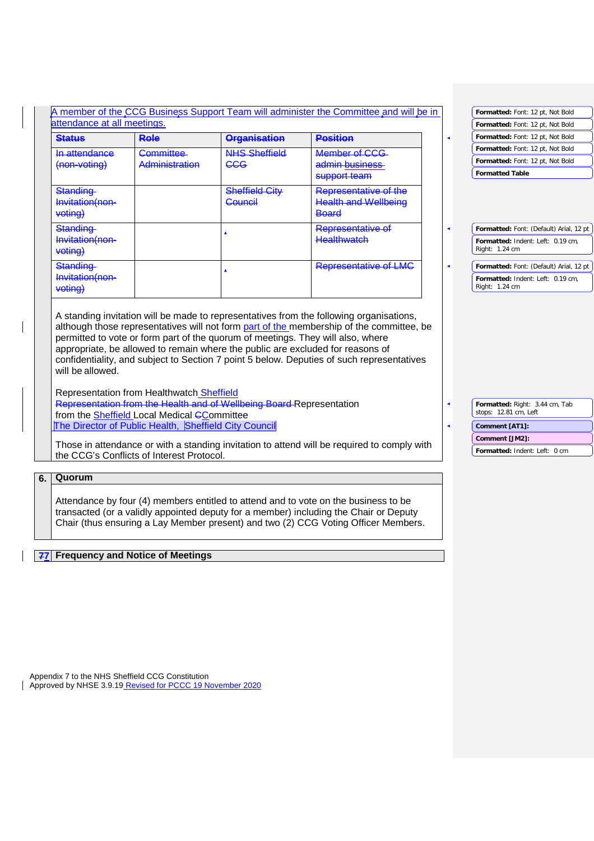| A member of the CCG Business Support Team will administer the Committee and will be in<br>attendance at all meetings. |                                                       |                                                                                 |                                                                                                                                                                                                                                                                       |  | Formatted: Font: 12 pt, Not Bold        |
|-----------------------------------------------------------------------------------------------------------------------|-------------------------------------------------------|---------------------------------------------------------------------------------|-----------------------------------------------------------------------------------------------------------------------------------------------------------------------------------------------------------------------------------------------------------------------|--|-----------------------------------------|
|                                                                                                                       |                                                       |                                                                                 |                                                                                                                                                                                                                                                                       |  | Formatted: Font: 12 pt, Not Bold        |
| <b>Status</b>                                                                                                         | Role                                                  | <b>Organisation</b>                                                             | <b>Position</b>                                                                                                                                                                                                                                                       |  |                                         |
| In attendance                                                                                                         | Committee-                                            | <b>NHS Sheffield</b>                                                            | Member of CCG                                                                                                                                                                                                                                                         |  | Formatted: Font: 12 pt, Not Bold        |
| (non-voting)                                                                                                          | Administration                                        | <b>CCG</b>                                                                      | admin business                                                                                                                                                                                                                                                        |  | Formatted: Font: 12 pt, Not Bold        |
|                                                                                                                       |                                                       |                                                                                 | support team                                                                                                                                                                                                                                                          |  | <b>Formatted Table</b>                  |
| Standing                                                                                                              |                                                       | <b>Sheffield City</b>                                                           | Representative of the                                                                                                                                                                                                                                                 |  |                                         |
| Invitation(non-                                                                                                       |                                                       | Council                                                                         | <b>Health and Wellbeing</b>                                                                                                                                                                                                                                           |  |                                         |
| voting)                                                                                                               |                                                       |                                                                                 | Board                                                                                                                                                                                                                                                                 |  |                                         |
| Standing                                                                                                              |                                                       |                                                                                 | Representative of                                                                                                                                                                                                                                                     |  | Formatted: Font: (Default) Arial, 12 pt |
| Invitation(non-                                                                                                       |                                                       |                                                                                 | <b>Healthwatch</b>                                                                                                                                                                                                                                                    |  | Formatted: Indent: Left: 0.19 cm,       |
| voting)                                                                                                               |                                                       |                                                                                 |                                                                                                                                                                                                                                                                       |  | Right: 1.24 cm                          |
| Standing                                                                                                              |                                                       |                                                                                 | Representative of LMC                                                                                                                                                                                                                                                 |  | Formatted: Font: (Default) Arial, 12 pt |
| Invitation(non-                                                                                                       |                                                       |                                                                                 |                                                                                                                                                                                                                                                                       |  | Formatted: Indent: Left: 0.19 cm,       |
|                                                                                                                       |                                                       |                                                                                 |                                                                                                                                                                                                                                                                       |  |                                         |
| voting)                                                                                                               |                                                       | permitted to vote or form part of the quorum of meetings. They will also, where | A standing invitation will be made to representatives from the following organisations,<br>although those representatives will not form part of the membership of the committee, be<br>appropriate, be allowed to remain where the public are excluded for reasons of |  | Right: 1.24 cm                          |
| will be allowed.                                                                                                      | Representation from Healthwatch Sheffield             | Representation from the Health and of Wellbeing Board Representation            | confidentiality, and subject to Section 7 point 5 below. Deputies of such representatives                                                                                                                                                                             |  | Formatted: Right: 3.44 cm, Tab          |
|                                                                                                                       | from the Sheffield Local Medical CCommittee           |                                                                                 |                                                                                                                                                                                                                                                                       |  | stops: 12.81 cm, Left                   |
|                                                                                                                       | The Director of Public Health, Sheffield City Council |                                                                                 |                                                                                                                                                                                                                                                                       |  | Comment [AT1]:                          |
|                                                                                                                       |                                                       |                                                                                 |                                                                                                                                                                                                                                                                       |  | Comment [JM2]:                          |
|                                                                                                                       | the CCG's Conflicts of Interest Protocol.             |                                                                                 | Those in attendance or with a standing invitation to attend will be required to comply with                                                                                                                                                                           |  | Formatted: Indent: Left: 0 cm           |
|                                                                                                                       |                                                       |                                                                                 |                                                                                                                                                                                                                                                                       |  |                                         |
| Quorum                                                                                                                |                                                       |                                                                                 |                                                                                                                                                                                                                                                                       |  |                                         |

## **77 Frequency and Notice of Meetings**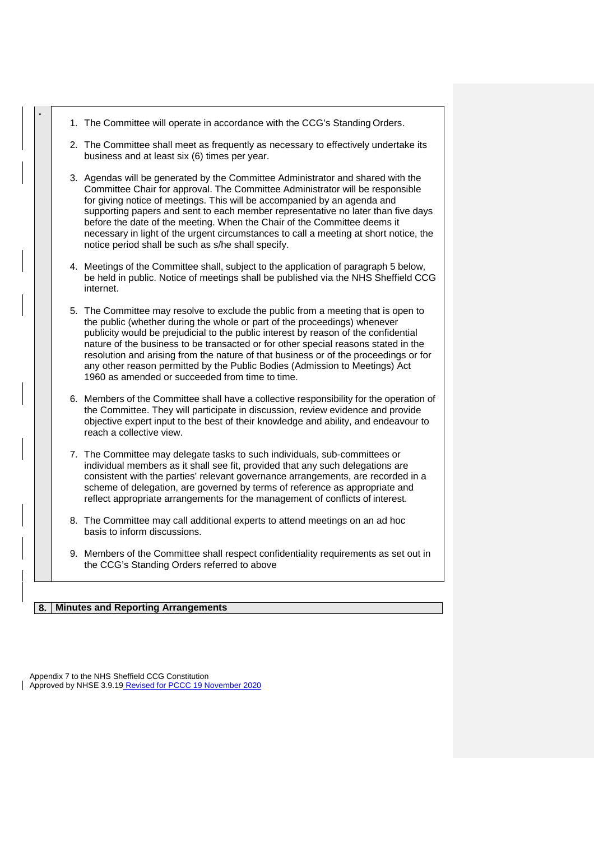|  | 1. The Committee will operate in accordance with the CCG's Standing Orders.                                                                                                                                                                                                                                                                                                                                                                                                                                                                                           |
|--|-----------------------------------------------------------------------------------------------------------------------------------------------------------------------------------------------------------------------------------------------------------------------------------------------------------------------------------------------------------------------------------------------------------------------------------------------------------------------------------------------------------------------------------------------------------------------|
|  | 2. The Committee shall meet as frequently as necessary to effectively undertake its<br>business and at least six (6) times per year.                                                                                                                                                                                                                                                                                                                                                                                                                                  |
|  | 3. Agendas will be generated by the Committee Administrator and shared with the<br>Committee Chair for approval. The Committee Administrator will be responsible<br>for giving notice of meetings. This will be accompanied by an agenda and<br>supporting papers and sent to each member representative no later than five days<br>before the date of the meeting. When the Chair of the Committee deems it<br>necessary in light of the urgent circumstances to call a meeting at short notice, the<br>notice period shall be such as s/he shall specify.           |
|  | 4. Meetings of the Committee shall, subject to the application of paragraph 5 below,<br>be held in public. Notice of meetings shall be published via the NHS Sheffield CCG<br>internet.                                                                                                                                                                                                                                                                                                                                                                               |
|  | 5. The Committee may resolve to exclude the public from a meeting that is open to<br>the public (whether during the whole or part of the proceedings) whenever<br>publicity would be prejudicial to the public interest by reason of the confidential<br>nature of the business to be transacted or for other special reasons stated in the<br>resolution and arising from the nature of that business or of the proceedings or for<br>any other reason permitted by the Public Bodies (Admission to Meetings) Act<br>1960 as amended or succeeded from time to time. |
|  | 6. Members of the Committee shall have a collective responsibility for the operation of<br>the Committee. They will participate in discussion, review evidence and provide<br>objective expert input to the best of their knowledge and ability, and endeavour to<br>reach a collective view.                                                                                                                                                                                                                                                                         |
|  | 7. The Committee may delegate tasks to such individuals, sub-committees or<br>individual members as it shall see fit, provided that any such delegations are<br>consistent with the parties' relevant governance arrangements, are recorded in a<br>scheme of delegation, are governed by terms of reference as appropriate and<br>reflect appropriate arrangements for the management of conflicts of interest.                                                                                                                                                      |
|  | 8. The Committee may call additional experts to attend meetings on an ad hoc<br>basis to inform discussions.                                                                                                                                                                                                                                                                                                                                                                                                                                                          |
|  | 9. Members of the Committee shall respect confidentiality requirements as set out in<br>the CCG's Standing Orders referred to above                                                                                                                                                                                                                                                                                                                                                                                                                                   |
|  |                                                                                                                                                                                                                                                                                                                                                                                                                                                                                                                                                                       |

## **8. Minutes and Reporting Arrangements**

**.**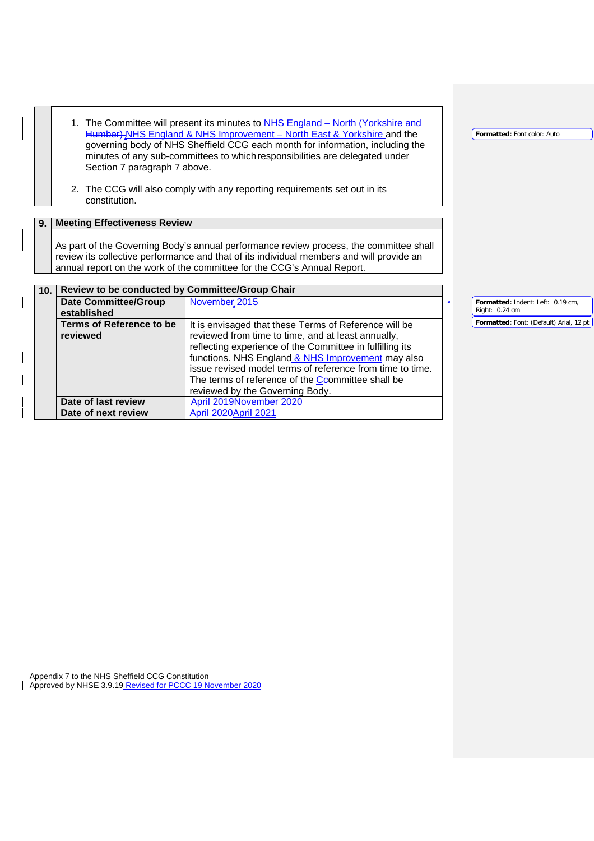1. The Committee will present its minutes to <del>NHS England – North (Yorkshire and </del> Humber) NHS England & NHS Improvement – North East & Yorkshire and the governing body of NHS Sheffield CCG each month for information, including the minutes of any sub-committees to whichresponsibilities are delegated under Section 7 paragraph 7 above.

**Formatted:** Font color: Auto

2. The CCG will also comply with any reporting requirements set out in its constitution.

## **9. Meeting Effectiveness Review**

As part of the Governing Body's annual performance review process, the committee shall review its collective performance and that of its individual members and will provide an annual report on the work of the committee for the CCG's Annual Report.

| 10 <sub>1</sub> | Review to be conducted by Committee/Group Chair |                                                                                                                                                                                                                                                                                                                                                                                   |                                         |
|-----------------|-------------------------------------------------|-----------------------------------------------------------------------------------------------------------------------------------------------------------------------------------------------------------------------------------------------------------------------------------------------------------------------------------------------------------------------------------|-----------------------------------------|
|                 | <b>Date Committee/Group</b>                     | November, 2015                                                                                                                                                                                                                                                                                                                                                                    | Formatted: Indent: Left: 0.19 cm.       |
|                 | established                                     |                                                                                                                                                                                                                                                                                                                                                                                   | Right: 0.24 cm                          |
|                 | <b>Terms of Reference to be</b><br>reviewed     | It is envisaged that these Terms of Reference will be<br>reviewed from time to time, and at least annually,<br>reflecting experience of the Committee in fulfilling its<br>functions. NHS England & NHS Improvement may also<br>issue revised model terms of reference from time to time.<br>The terms of reference of the Ceommittee shall be<br>reviewed by the Governing Body. | Formatted: Font: (Default) Arial, 12 pt |
|                 | Date of last review                             | April 2019November 2020                                                                                                                                                                                                                                                                                                                                                           |                                         |
|                 | Date of next review                             | <b>April 2020April 2021</b>                                                                                                                                                                                                                                                                                                                                                       |                                         |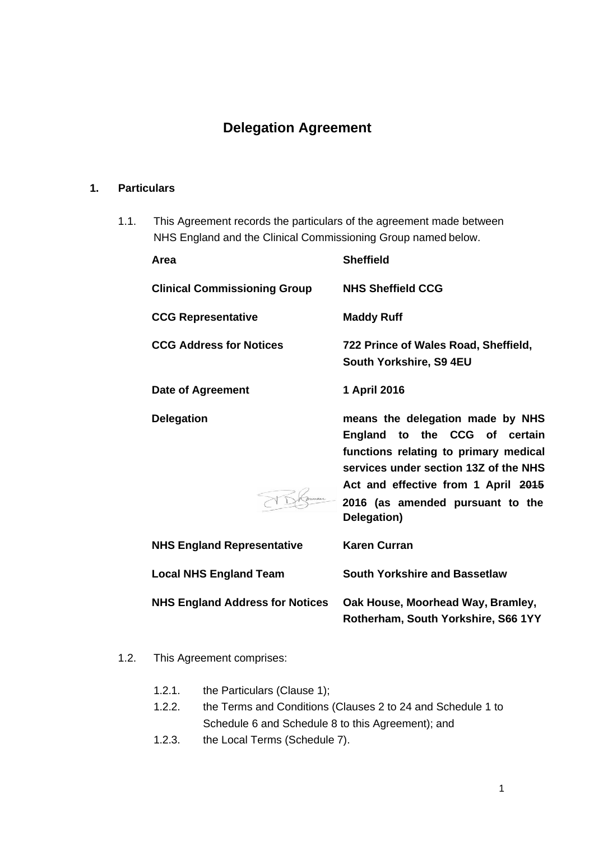# **Delegation Agreement**

## **1. Particulars**

1.1. This Agreement records the particulars of the agreement made between NHS England and the Clinical Commissioning Group named below.

| Area                                   | <b>Sheffield</b>                                                                                                                                                                                                                              |
|----------------------------------------|-----------------------------------------------------------------------------------------------------------------------------------------------------------------------------------------------------------------------------------------------|
| <b>Clinical Commissioning Group</b>    | <b>NHS Sheffield CCG</b>                                                                                                                                                                                                                      |
| <b>CCG Representative</b>              | <b>Maddy Ruff</b>                                                                                                                                                                                                                             |
| <b>CCG Address for Notices</b>         | 722 Prince of Wales Road, Sheffield,<br>South Yorkshire, S9 4EU                                                                                                                                                                               |
| Date of Agreement                      | 1 April 2016                                                                                                                                                                                                                                  |
| <b>Delegation</b>                      | means the delegation made by NHS<br>England to the CCG of certain<br>functions relating to primary medical<br>services under section 13Z of the NHS<br>Act and effective from 1 April 2015<br>2016 (as amended pursuant to the<br>Delegation) |
| <b>NHS England Representative</b>      | <b>Karen Curran</b>                                                                                                                                                                                                                           |
| <b>Local NHS England Team</b>          | <b>South Yorkshire and Bassetlaw</b>                                                                                                                                                                                                          |
| <b>NHS England Address for Notices</b> | Oak House, Moorhead Way, Bramley,<br>Rotherham, South Yorkshire, S66 1YY                                                                                                                                                                      |

- 1.2. This Agreement comprises:
	- 1.2.1. the Particulars (Clause 1);
	- 1.2.2. the Terms and Conditions (Clauses 2 to 24 and Schedule 1 to Schedule 6 and Schedule 8 to this Agreement); and
	- 1.2.3. the Local Terms (Schedule 7).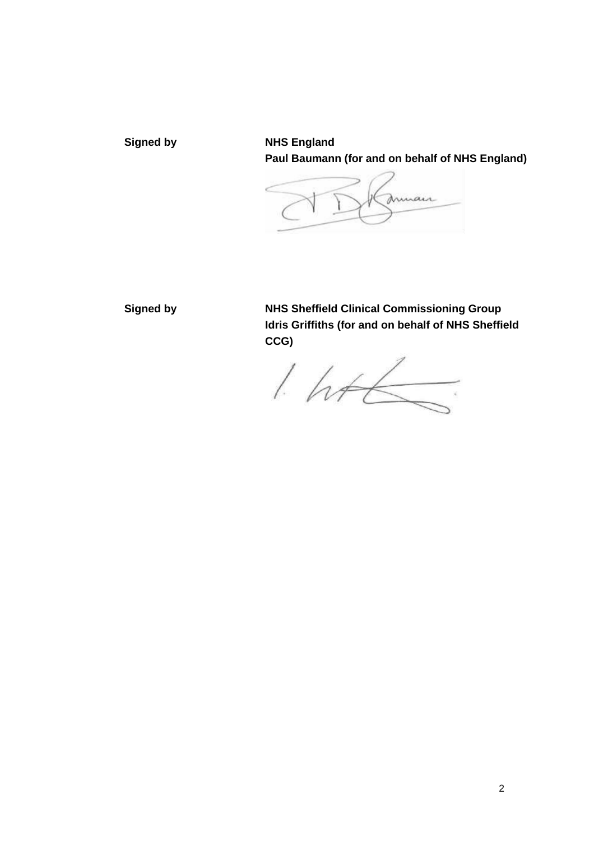**Signed by NHS England Paul Baumann (for and on behalf of NHS England)** 

mmair

**Signed by NHS Sheffield Clinical Commissioning Group Idris Griffiths (for and on behalf of NHS Sheffield CCG)** 

 $1.446$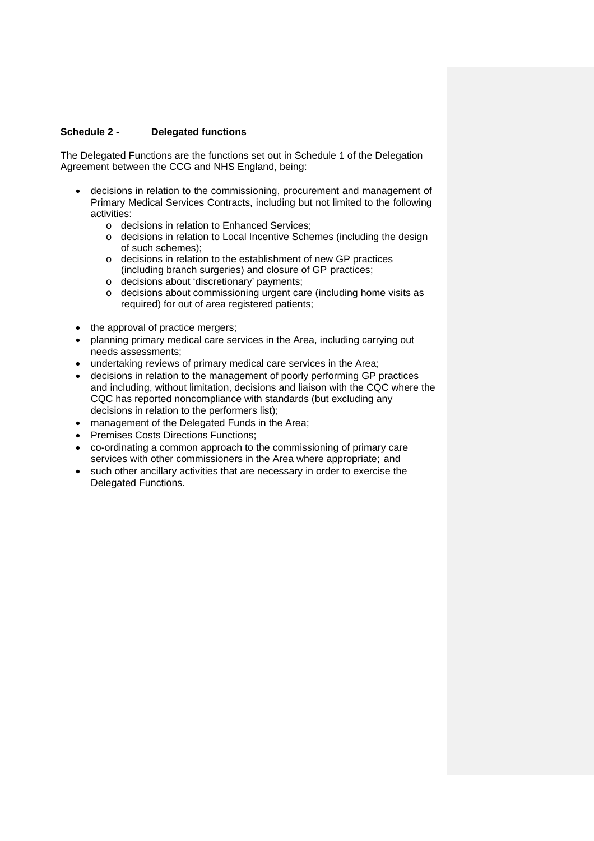#### **Schedule 2 - Delegated functions**

The Delegated Functions are the functions set out in Schedule 1 of the Delegation Agreement between the CCG and NHS England, being:

- decisions in relation to the commissioning, procurement and management of Primary Medical Services Contracts, including but not limited to the following activities:
	- o decisions in relation to Enhanced Services;
	- o decisions in relation to Local Incentive Schemes (including the design of such schemes);
	- o decisions in relation to the establishment of new GP practices (including branch surgeries) and closure of GP practices;
	- o decisions about 'discretionary' payments;
	- o decisions about commissioning urgent care (including home visits as required) for out of area registered patients;
- the approval of practice mergers;
- planning primary medical care services in the Area, including carrying out needs assessments;
- undertaking reviews of primary medical care services in the Area;
- decisions in relation to the management of poorly performing GP practices and including, without limitation, decisions and liaison with the CQC where the CQC has reported noncompliance with standards (but excluding any decisions in relation to the performers list);
- management of the Delegated Funds in the Area;
- Premises Costs Directions Functions;
- co-ordinating a common approach to the commissioning of primary care services with other commissioners in the Area where appropriate; and
- such other ancillary activities that are necessary in order to exercise the Delegated Functions.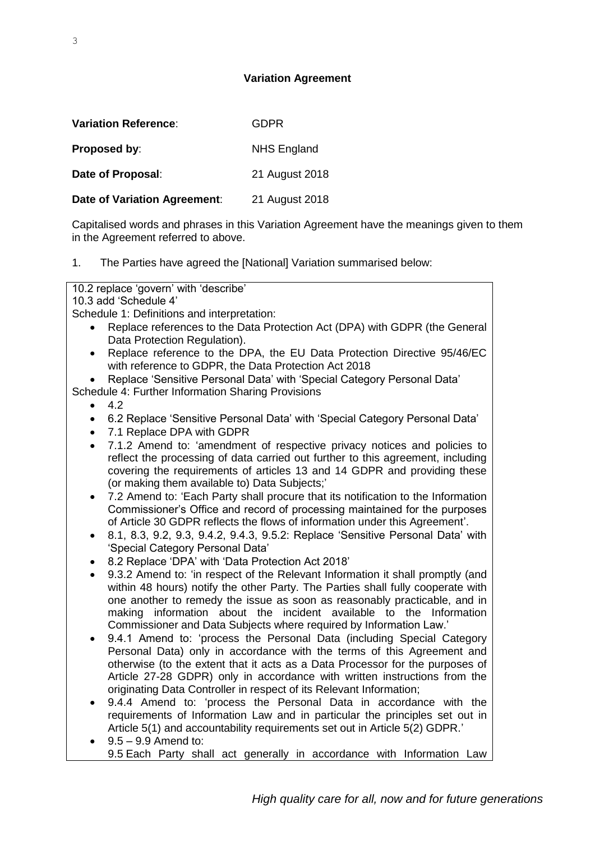## **Variation Agreement**

| <b>Variation Reference:</b>  | GDPR               |
|------------------------------|--------------------|
| Proposed by:                 | <b>NHS England</b> |
| Date of Proposal:            | 21 August 2018     |
| Date of Variation Agreement: | 21 August 2018     |

Capitalised words and phrases in this Variation Agreement have the meanings given to them in the Agreement referred to above.

1. The Parties have agreed the [National] Variation summarised below:

10.2 replace 'govern' with 'describe'

10.3 add 'Schedule 4'

Schedule 1: Definitions and interpretation:

- Replace references to the Data Protection Act (DPA) with GDPR (the General Data Protection Regulation).
- Replace reference to the DPA, the EU Data Protection Directive 95/46/EC with reference to GDPR, the Data Protection Act 2018

 Replace 'Sensitive Personal Data' with 'Special Category Personal Data' Schedule 4: Further Information Sharing Provisions

- $4.2$
- 6.2 Replace 'Sensitive Personal Data' with 'Special Category Personal Data'
- 7.1 Replace DPA with GDPR
- 7.1.2 Amend to: 'amendment of respective privacy notices and policies to reflect the processing of data carried out further to this agreement, including covering the requirements of articles 13 and 14 GDPR and providing these (or making them available to) Data Subjects;'
- 7.2 Amend to: 'Each Party shall procure that its notification to the Information Commissioner's Office and record of processing maintained for the purposes of Article 30 GDPR reflects the flows of information under this Agreement'.
- 8.1, 8.3, 9.2, 9.3, 9.4.2, 9.4.3, 9.5.2: Replace 'Sensitive Personal Data' with 'Special Category Personal Data'
- 8.2 Replace 'DPA' with 'Data Protection Act 2018'
- 9.3.2 Amend to: 'in respect of the Relevant Information it shall promptly (and within 48 hours) notify the other Party. The Parties shall fully cooperate with one another to remedy the issue as soon as reasonably practicable, and in making information about the incident available to the Information Commissioner and Data Subjects where required by Information Law.'
- 9.4.1 Amend to: 'process the Personal Data (including Special Category Personal Data) only in accordance with the terms of this Agreement and otherwise (to the extent that it acts as a Data Processor for the purposes of Article 27-28 GDPR) only in accordance with written instructions from the originating Data Controller in respect of its Relevant Information;
- 9.4.4 Amend to: 'process the Personal Data in accordance with the requirements of Information Law and in particular the principles set out in Article 5(1) and accountability requirements set out in Article 5(2) GDPR.'
- $\bullet$  9.5 9.9 Amend to: 9.5 Each Party shall act generally in accordance with Information Law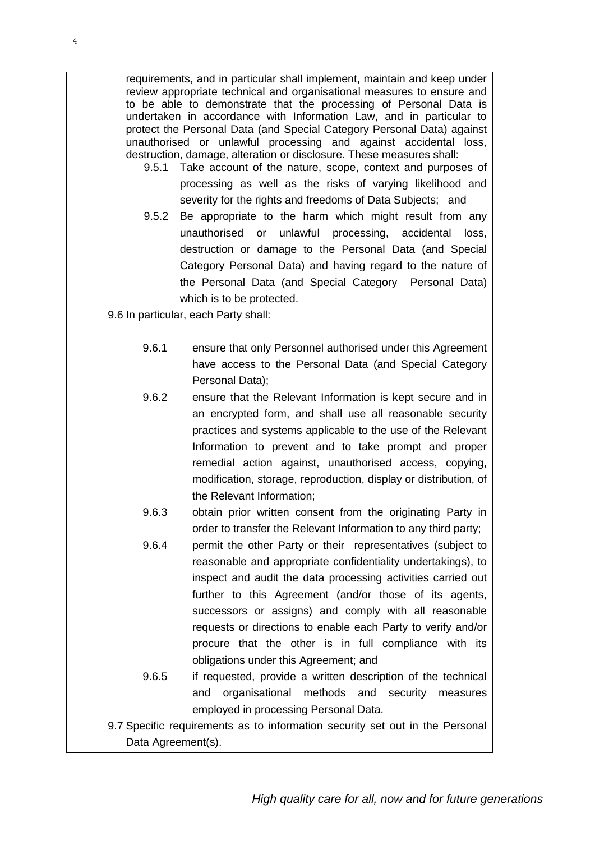requirements, and in particular shall implement, maintain and keep under review appropriate technical and organisational measures to ensure and to be able to demonstrate that the processing of Personal Data is undertaken in accordance with Information Law, and in particular to protect the Personal Data (and Special Category Personal Data) against unauthorised or unlawful processing and against accidental loss, destruction, damage, alteration or disclosure. These measures shall:

- 9.5.1 Take account of the nature, scope, context and purposes of processing as well as the risks of varying likelihood and severity for the rights and freedoms of Data Subjects; and
- 9.5.2 Be appropriate to the harm which might result from any unauthorised or unlawful processing, accidental loss, destruction or damage to the Personal Data (and Special Category Personal Data) and having regard to the nature of the Personal Data (and Special Category Personal Data) which is to be protected.

9.6 In particular, each Party shall:

- 9.6.1 ensure that only Personnel authorised under this Agreement have access to the Personal Data (and Special Category Personal Data);
- 9.6.2 ensure that the Relevant Information is kept secure and in an encrypted form, and shall use all reasonable security practices and systems applicable to the use of the Relevant Information to prevent and to take prompt and proper remedial action against, unauthorised access, copying, modification, storage, reproduction, display or distribution, of the Relevant Information;
- 9.6.3 obtain prior written consent from the originating Party in order to transfer the Relevant Information to any third party;
- 9.6.4 permit the other Party or their representatives (subject to reasonable and appropriate confidentiality undertakings), to inspect and audit the data processing activities carried out further to this Agreement (and/or those of its agents, successors or assigns) and comply with all reasonable requests or directions to enable each Party to verify and/or procure that the other is in full compliance with its obligations under this Agreement; and
- 9.6.5 if requested, provide a written description of the technical and organisational methods and security measures employed in processing Personal Data.
- 9.7 Specific requirements as to information security set out in the Personal Data Agreement(s).